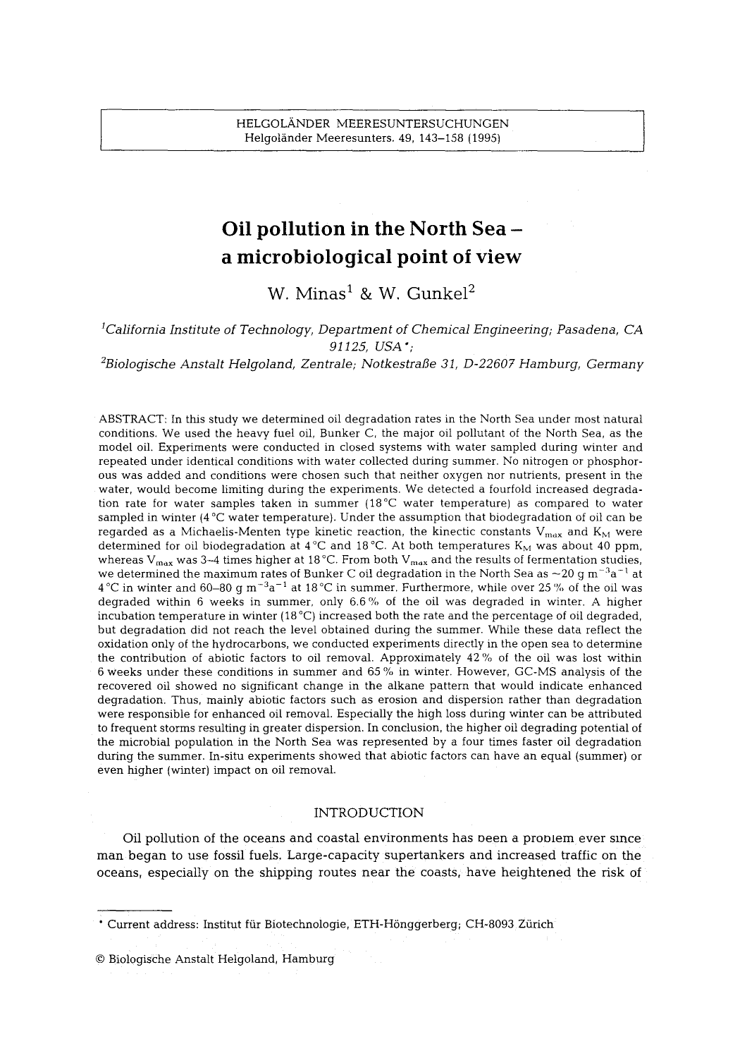# **Oil pollution in the North Sea a microbiological point of view**

W. Minas<sup>1</sup> & W. Gunkel<sup>2</sup>

# *1California Institute of Technology, Department of Chemical Engineering; Pasadena, CA 91125, USA';*

*2Biologische Anstalt Helgoland, Zentrale; NotkestraI3e 31, D-22607 Hamburg, Germany* 

ABSTRACT: In this study we determined oil degradation rates in the North Sea under most natural conditions. We used the heavy fuel oil, Bunker C, the major oil pollutant of the North Sea, as the model oil. Experiments were conducted in closed systems with water sampled during winter and repeated under identical conditions with water collected during summer. No nitrogen or phosphorous was added and conditions were chosen such that neither oxygen nor nutrients, present in the water, would become limiting during the experiments. We detected a fourfold increased degradation rate for water samples taken in summer  $(18^{\circ}C$  water temperature) as compared to water sampled in winter  $(4^{\circ}C$  water temperature). Under the assumption that biodegradation of oil can be regarded as a Michaelis-Menten type kinetic reaction, the kinectic constants  $V_{max}$  and  $K_M$  were determined for oil biodegradation at 4°C and 18°C. At both temperatures  $K_M$  was about 40 ppm, whereas V<sub>max</sub> was 3-4 times higher at 18 °C. From both V<sub>max</sub> and the results of fermentation studies, we determined the maximum rates of Bunker C oil degradation in the North Sea as  $\sim$  20 g m<sup>-3</sup>a<sup>-1</sup> at  $4^{\circ}$ C in winter and 60–80 g m<sup>-3</sup>a<sup>-1</sup> at  $18^{\circ}$ C in summer. Furthermore, while over 25% of the oil was degraded within 6 weeks in summer, only 6.6% of the oil was degraded in winter. A higher incubation temperature in winter  $(18\text{ °C})$  increased both the rate and the percentage of oil degraded, but degradation did not reach the level obtained during the summer. While these data reflect the oxidation only of the hydrocarbons, we conducted experiments directly in the open sea to determine the contribution of abiotic factors to oil removal. Approximately 42 % of the oil was lost within 6 weeks under these conditions in summer and 65 % in winter. However, GC-MS analysis of the recovered oil showed no significant change in the alkane pattern that would indicate enhanced degradation. Thus, mainly abiotic factors such as erosion and dispersion rather than degradation were responsible for enhanced oil removal. Especially the high loss during winter can be attributed to frequent storms resulting in greater dispersion. In conclusion, the higher oil degrading potential of the microbial population in the North Sea was represented by a four times faster oil degradation during the summer. In-situ experiments showed that abiotic factors can have an equal (summer) or even higher (winter) impact on oil removal.

### INTRODUCTION

Oil pollution of the oceans and coastal environments has oeen a proolem ever since man began to use fossil fuels; Large-capadty supertankers and increased traffic on the oceans, especially on the shipping routes near the coasts, have heightened the risk of

\* Current address: Institut für Biotechnologie, ETH-Hönggerberg; CH-8093 Zürich

9 Biologische Anstalt Helgoland, Hamburg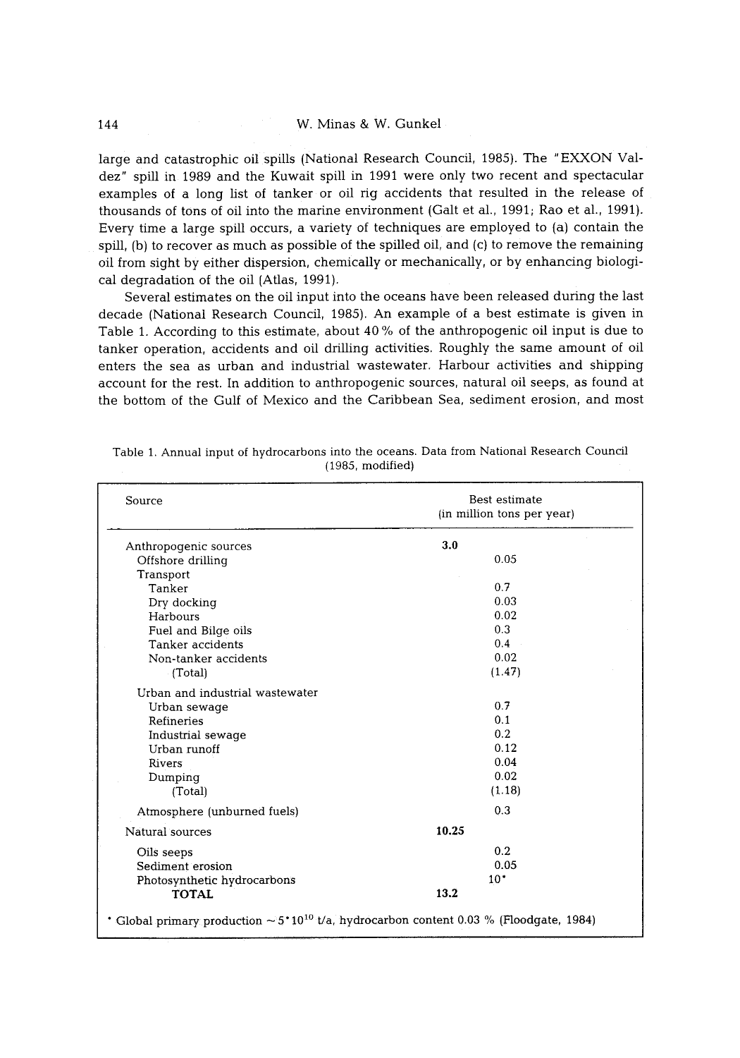large and catastrophic oil spills (National Research Council, 1985). The "EXXON Valdez" spill in 1989 and the Kuwait spill in 1991 were only two recent and spectacular examples of a long list of tanker or oil rig accidents that resulted in the release of thousands of tons of oil into the marine environment (Gait et al., 1991; Rao et al., 1991). Every time a large spill occurs, a variety of techniques are employed to (a) contain the spill, (b) to recover as much as possible of the spilled oil, and (c) to remove the remaining oil from sight by either dispersion, chemically or mechanically, or by enhancing biological degradation of the oil {Atlas, 1991).

Several estimates on the oil input into the oceans have been released during the last decade (National Research Council, 1985). An example of a best estimate is given in Table 1. According to this estimate, about 40 % of the anthropogenic oil input is due to tanker operation, accidents and oil drilling activities. Roughly the same amount of oil enters the sea as urban and industrial wastewater. Harbour activities and shipping account for the rest. In addition to anthropogenic sources, natural oil seeps, as found at the bottom of the Gulf of Mexico and the Caribbean Sea, sediment erosion, and most

| Source                                                                                                   | Best estimate<br>(in million tons per year) |  |
|----------------------------------------------------------------------------------------------------------|---------------------------------------------|--|
| Anthropogenic sources                                                                                    | 3.0                                         |  |
| Offshore drilling                                                                                        | 0.05                                        |  |
| Transport                                                                                                |                                             |  |
| Tanker                                                                                                   | 0.7                                         |  |
| Dry docking                                                                                              | 0.03                                        |  |
| Harbours                                                                                                 | 0.02                                        |  |
| Fuel and Bilge oils                                                                                      | 0.3                                         |  |
| Tanker accidents                                                                                         | 0.4                                         |  |
| Non-tanker accidents                                                                                     | 0.02                                        |  |
| (Total)                                                                                                  | (1.47)                                      |  |
| Urban and industrial wastewater                                                                          |                                             |  |
| Urban sewage                                                                                             | 0.7                                         |  |
| Refineries                                                                                               | 0.1                                         |  |
| Industrial sewage                                                                                        | 0.2                                         |  |
| Urban runoff                                                                                             | 0.12                                        |  |
| Rivers                                                                                                   | 0.04                                        |  |
| Dumping                                                                                                  | 0.02                                        |  |
| (Total)                                                                                                  | (1.18)                                      |  |
| Atmosphere (unburned fuels)                                                                              | 0.3                                         |  |
| Natural sources                                                                                          | 10.25                                       |  |
| Oils seeps                                                                                               | 0.2                                         |  |
| Sediment erosion                                                                                         | 0.05                                        |  |
| Photosynthetic hydrocarbons                                                                              | $10^*$                                      |  |
| <b>TOTAL</b>                                                                                             | 13.2                                        |  |
| * Global primary production $\sim 5$ *10 <sup>10</sup> t/a, hydrocarbon content 0.03 % (Floodgate, 1984) |                                             |  |

| Table 1. Annual input of hydrocarbons into the oceans. Data from National Research Council |  |
|--------------------------------------------------------------------------------------------|--|
| $(1985. \text{ modified})$                                                                 |  |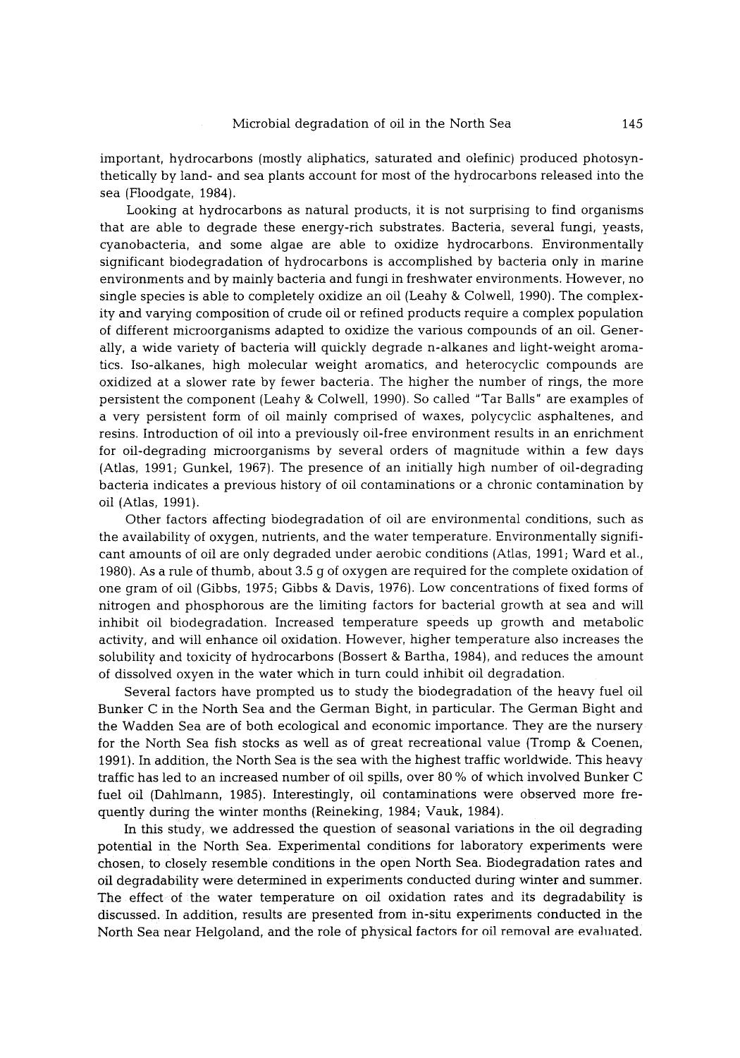important, hydrocarbons (mostly aliphatics, saturated and olefinic) produced photosynthetically by land- and sea plants account for most of the hydrocarbons released into the sea (Floodgate, 1984).

Looking at hydrocarbons as natural products, it is not surprising to find organisms that are able to degrade these energy-rich substrates. Bacteria, several fungi, yeasts, cyanobacteria, and some algae are able to oxidize hydrocarbons. Environmentally significant biodegradation of hydrocarbons is accomplished by bacteria only in marine environments and by mainly bacteria and fungi in freshwater environments. However, no single species is able to completely oxidize an oil (Leahy & Colwell, 1990). The complexity and varying composition of crude oil or refined products require a complex population of different microorganisms adapted to oxidize the various compounds of an oil. Generally, a wide variety of bacteria will quickly degrade n-alkanes and light-weight aromatics. Iso-alkanes, high molecular weight aromatics, and heterocyclic compounds are oxidized at a slower rate by fewer bacteria. The higher the number of rings, the more persistent the component (Leahy & Colwell, 1990). So called "Tar Balls" are examples of a very persistent form of oil mainly comprised of waxes, polycyclic asphaltenes, and resins. Introduction of oil into a previously oil-free environment results in an enrichment for oil-degrading microorganisms by several orders of magnitude within a few days (Atlas, 1991; Gunkel, 1967). The presence of an initially high number of oil-degrading bacteria indicates a previous history of oil contaminations or a chronic contamination by oil (Atlas, 1991).

Other factors affecting biodegradation of oil are environmental conditions, such as the availability of oxygen, nutrients, and the water temperature. Environmentally significant amounts of oil are only degraded under aerobic conditions (Atlas, 1991; Ward et al., 1980). As a rule of thumb, about 3.5 g of oxygen are required for the complete oxidation of one gram of oil (Gibbs, 1975; Gibbs & Davis, 1976). Low concentrations of fixed forms of nitrogen and phosphorous are the limiting factors for bacterial growth at sea and will inhibit oil biodegradation. Increased temperature speeds up growth and metabolic activity, and will enhance oil oxidation. However, higher temperature also increases the solubility and toxicity of hydrocarbons (Bossert & Bartha. 1984), and reduces the amount of dissolved oxyen in the water which in turn could inhibit oil degradation.

Several factors have prompted us to study the biodegradation of the heavy fuel oil Bunker C in the North Sea and the German Bight, in particular. The German Bight and the Wadden Sea are of both ecological and economic importance. They are the nursery for the North Sea fish stocks as well as of great recreational value (Tromp & Coenen, 1991). In addition, the North Sea is the sea with the highest traffic worldwide. This heavy traffic has led to an increased number of oil spills, over 80 % of which involved Bunker C fuel oil (Dahlmann, 1985). Interestingly, oil contaminations were observed more frequently during the winter months (Reineking, 1984; Vauk, 1984).

In this study we addressed the question of seasonal variations in the oil degrading potential in the North Sea. Experimental conditions for laboratory experiments were chosen, to closely resemble conditions in the open North Sea Biodegradation rates and oil degradability were determined in experiments conducted during winter and summer. The effect of the water temperature on oil oxidation rates and its degradability is discussed. In addition, results are presented from in-situ experiments conducted in the North Sea near Helgoland, and the role of physical factors for oil removal are evaluated.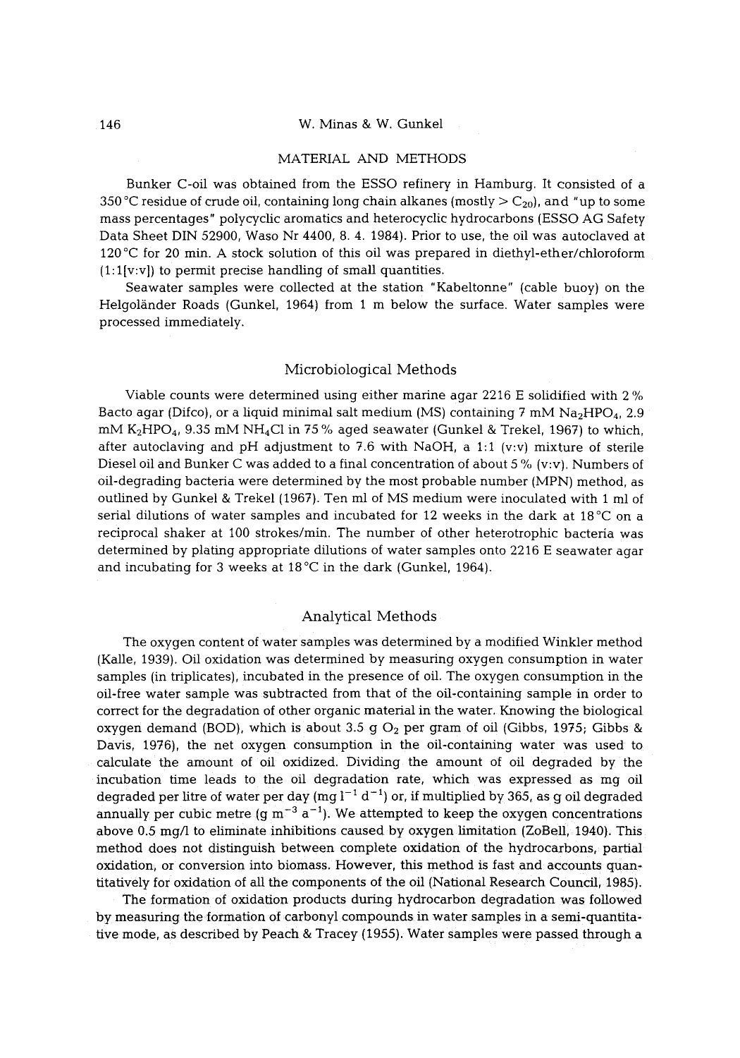#### 146 W. Minas & W. Gunkel

### MATERIAL AND METHODS

Bunker C-oil was obtained from the ESSO refinery in Hamburg. It consisted of a 350 °C residue of crude oil, containing long chain alkanes (mostly  $> C_{20}$ ), and "up to some mass percentages" polycyclic aromatics and heterocyclic hydrocarbons (ESSO AG Safety Data Sheet DIN 52900, Waso Nr 4400, 8.4. 1984). Prior to use, the oil was autoclaved at 120 °C for 20 min. A stock solution of this oil was prepared in diethyl-ether/chloroform  $(1:1[v:v])$  to permit precise handling of small quantities.

Seawater samples were collected at the station "Kabeltonne" (cable buoy) on the Helgoländer Roads (Gunkel, 1964) from 1 m below the surface. Water samples were processed immediately.

### Microbiological Methods

Viable counts were determined using either marine agar 2216 E solidified with 2 % Bacto agar (Difco), or a liquid minimal salt medium (MS) containing 7 mM  $Na<sub>2</sub>HPO<sub>4</sub>$ , 2.9  $mM K<sub>2</sub>HPO<sub>4</sub>$ , 9.35 mM NH<sub>4</sub>Cl in 75% aged seawater (Gunkel & Trekel, 1967) to which, after autoclaving and pH adjustment to 7.6 with NaOH, a 1:1 (v:v) mixture of sterile Diesel oil and Bunker C was added to a final concentration of about 5  $\%$  (v:v). Numbers of oil-degrading bacteria were determined by the most probable number (MPN) method, as outlined by Gunkel & Trekel 11967). Ten ml of MS medium were inoculated with 1 ml of serial dilutions of water samples and incubated for 12 weeks in the dark at  $18^{\circ}$ C on a reciprocal shaker at 100 strokes/rain. The number of other heterotrophic bacteria was determined by plating appropriate dilutions of water samples onto 2216 E seawater agar and incubating for 3 weeks at  $18^{\circ}$ C in the dark (Gunkel, 1964).

# Analytical Methods

The oxygen content of water samples was determined by a modified Winkler method (Kalle. 1939). Oil oxidation was determined by measuring oxygen consumption in water samples (in triplicates), incubated in the presence of oil. The oxygen consumption in the oil-free water sample was subtracted from that of the oil-containing sample in order to correct for the degradation of other organic material in the water. Knowing the biological oxygen demand (BOD), which is about 3.5 g  $O_2$  per gram of oil (Gibbs, 1975; Gibbs & Davis, 1976), the net oxygen consumption in the oil-containing water was used to calculate the amount of oil oxidized. Dividing the amount of oil degraded by the incubation time leads to the oil degradation rate, which was expressed as mg oil degraded per litre of water per day (mg  $l^{-1} d^{-1}$ ) or, if multiplied by 365, as g oil degraded annually per cubic metre (g m<sup>-3</sup> a<sup>-1</sup>). We attempted to keep the oxygen concentrations above 0.5 mg/l to eliminate inhibitions caused by oxygen limitation (ZoBell, 1940). This method does not distinguish between complete oxidation of the hydrocarbons, partial oxidation, or conversion into biomass. However, this method is fast and accounts quantitatively for oxidation of all the components of the oil (National Research Council, 1985).

The formation of oxidation products during hydrocarbon degradation was followed by measuring the formation of carbonyl compounds in water samples in a semi-quantitative mode, as described by Peach & Tracey (1955). Water samples were passed through a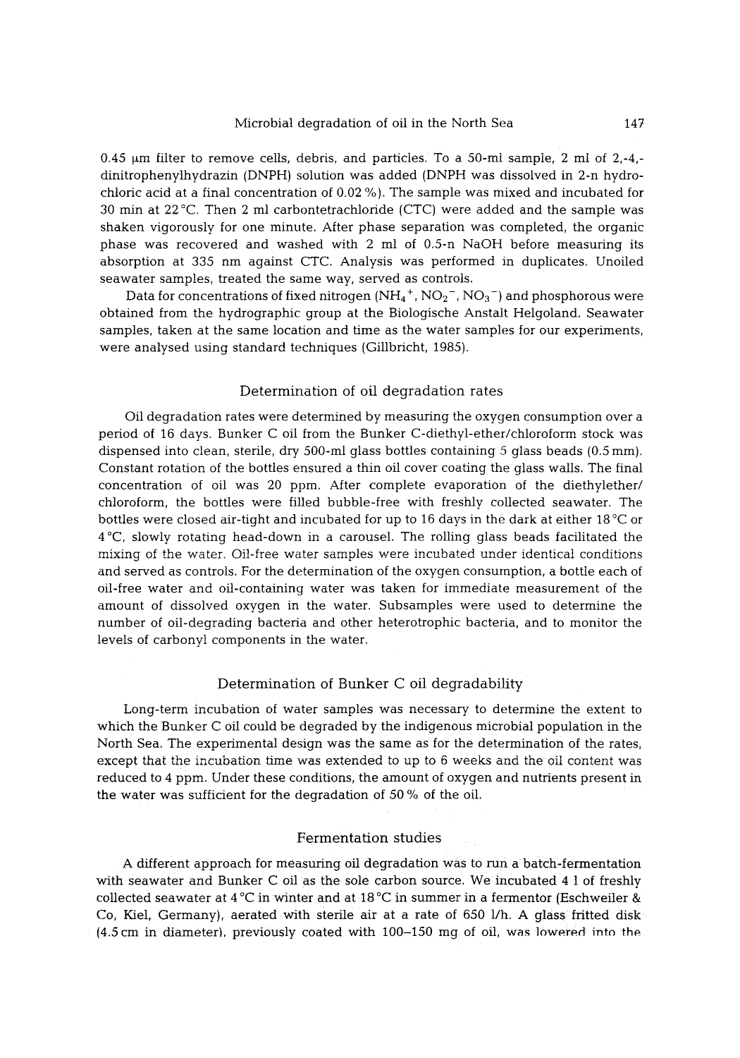### Microbial degradation of oil in the North Sea 147

0.45  $\mu$ m filter to remove cells, debris, and particles. To a 50-ml sample, 2 ml of 2,-4,dinitrophenylhydrazin (DNPH) solution was added (DNPH was dissolved in 2-n hydrochloric acid at a final concentration of 0.02 %). The sample was mixed and incubated for 30 min at  $22^{\circ}$ C. Then 2 ml carbontetrachloride (CTC) were added and the sample was shaken vigorously for one minute. After phase separation was completed, the organic phase was recovered and washed with 2 ml of 0.5-n NaOH before measuring its absorption at 335 nm against CTC. Analysis was performed in duplicates. Unoiled seawater samples, treated the same way, served as controls.

Data for concentrations of fixed nitrogen  $(NH_4^+, NO_2^-, NO_3^-)$  and phosphorous were obtained from the hydrographic group at the Biologische Anstalt Helgoland. Seawater samples, taken at the same location and time as the water samples for our experiments, were analysed using standard techniques (Gillbricht, 1985).

# Determination of oil degradation rates

Oil degradation rates were determined by measuring the oxygen consumption over a period of 16 days. Bunker C oil from the Bunker C-diethyl-ether/chloroform stock was dispensed into clean, sterile, dry 500-ml glass bottles containing 5 glass beads (0.5 mm). Constant rotation of the bottles ensured a thin oil cover coating the glass walls. The final concentration of oil was 20 ppm. After complete evaporation of the diethylether/ chloroform, the bottles were filled bubble-free with freshly collected seawater. The bottles were closed air-tight and incubated for up to 16 days in the dark at either  $18\,^{\circ}\text{C}$  or  $4^{\circ}$ C, slowly rotating head-down in a carousel. The rolling glass beads facilitated the mixing of the water. Oil-free water samples were incubated under identical conditions and served as controls. For the determination of the oxygen consumption, a bottle each of oil-free water and oil-containing water was taken for immediate measurement of the amount of dissolved oxygen in the water. Subsamples were used to determine the number of oil-degrading bacteria and other heterotrophic bacteria, and to monitor the levels of carbonyl components in the water.

### Determination of Bunker C oil degradability

Long-term incubation of water samples was necessary to determine the extent to which the Bunker C oil could be degraded by the indigenous microbial population in the North Sea. The experimental design was the same as for the determination of the rates, except that the incubation time was extended to up to 6 weeks and the oil content was reduced to 4 ppm. Under these conditions, the amount of oxygen and nutrients present in the water was sufficient for the degradation of 50 % of the oil.

# Fermentation studies

A different approach for measuring oil degradation was to run a batch-fermentation with seawater and Bunker C oil as the sole carbon source. We incubated 4 I of freshly collected seawater at 4 °C in winter and at 18 °C in summer in a fermentor (Eschweiler & Co, Kiel, Germany), aerated with sterile air at a rate of  $650$  l/h. A glass fritted disk  $(4.5 \text{ cm}$  in diameter), previously coated with  $100-150$  mg of oil, was lowered into the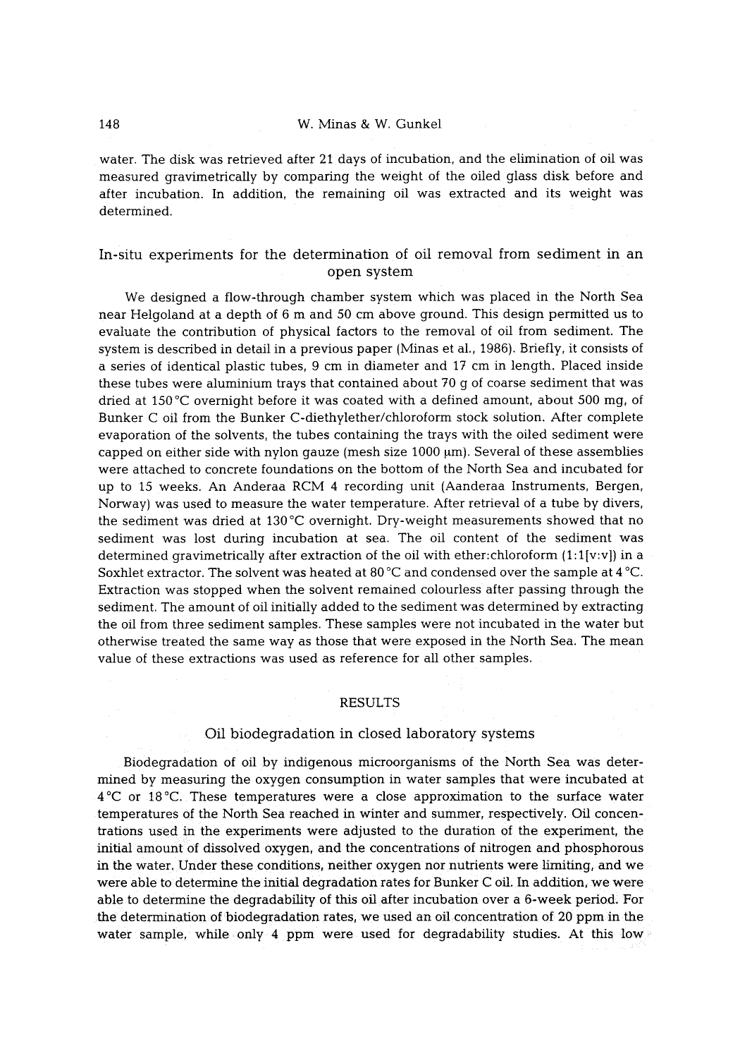water. The disk was retrieved after 21 days of incubation, and the elimination of oil was measured gravimetrically by comparing the weight of the oiled glass disk before and after incubation. In addition, the remaining oil was extracted and its weight was determined.

# In-situ experiments for the determination of oil removal from sediment in an open system

We designed a flow-through chamber system which was placed in the North Sea near Helgoland at a depth of 6 m and 50 cm above ground. This design permitted us to evaluate the contribution of physical factors to the removal of oil from sediment. The system is described in detail in a previous paper (Minas et al., 1986). Briefly, it consists of a series of identical plastic tubes, 9 cm in diameter and 17 cm in length. Placed inside these tubes were aluminium trays that contained about 70 g of coarse sediment that was dried at 150 °C overnight before it was coated with a defined amount, about 500 mg, of Bunker C oil from the Bunker C-diethylether/chloroform stock solution. After complete evaporation of the solvents, the tubes containing the trays with the oiled sediment were capped on either side with nylon gauze (mesh size  $1000 \mu m$ ). Several of these assemblies were attached to concrete foundations on the bottom of the North Sea and incubated for up to 15 weeks. An Anderaa RCM 4 recording unit (Aanderaa Instruments. Bergen. Norway] was used to measure the water temperature. After retrieval of a tube by divers. the sediment was dried at 130 $^{\circ}$ C overnight. Dry-weight measurements showed that no sediment was lost during incubation at sea. The oil content of the sediment was determined gravimetrically after extraction of the oil with ether:chloroform (1:1[v:v]) in a Soxhlet extractor. The solvent was heated at 80  $^{\circ}$ C and condensed over the sample at 4  $^{\circ}$ C. Extraction was stopped when the solvent remained colourless after passing through the sediment The amount of oil initially added to the sediment was determined by extracting the oil from three sediment samples. These samples were not incubated in the water but otherwise treated the same way as those that were exposed in the North Sea. The mean value of these extractions was used as reference for all other samples.

#### RESULTS

## Oil biodegradation in closed laboratory systems

Biodegradation of oil by indigenous microorganisms of the North Sea was determined by measuring the oxygen consumption in water samples that were incubated at  $4^{\circ}$ C or 18 $^{\circ}$ C. These temperatures were a close approximation to the surface water temperatures of the North Sea reached in winter and summer, respectively. Oil concentrations used in the experiments were adjusted to the duration of the experiment, the initial amount of dissolved oxygen, and the concentrations of nitrogen and phosphorous in the water. Under these conditions, neither oxygen nor nutrients were limiting, and we were able to determine the initial degradation rates for Bunker C oil. In addition, we were able to determine the degradability of this oil after incubation over a 6-week period. For the determination of biodegradation rates, we used an oil concentration of 20 ppm in the water sample, while only 4 ppm were used for degradability studies. At this low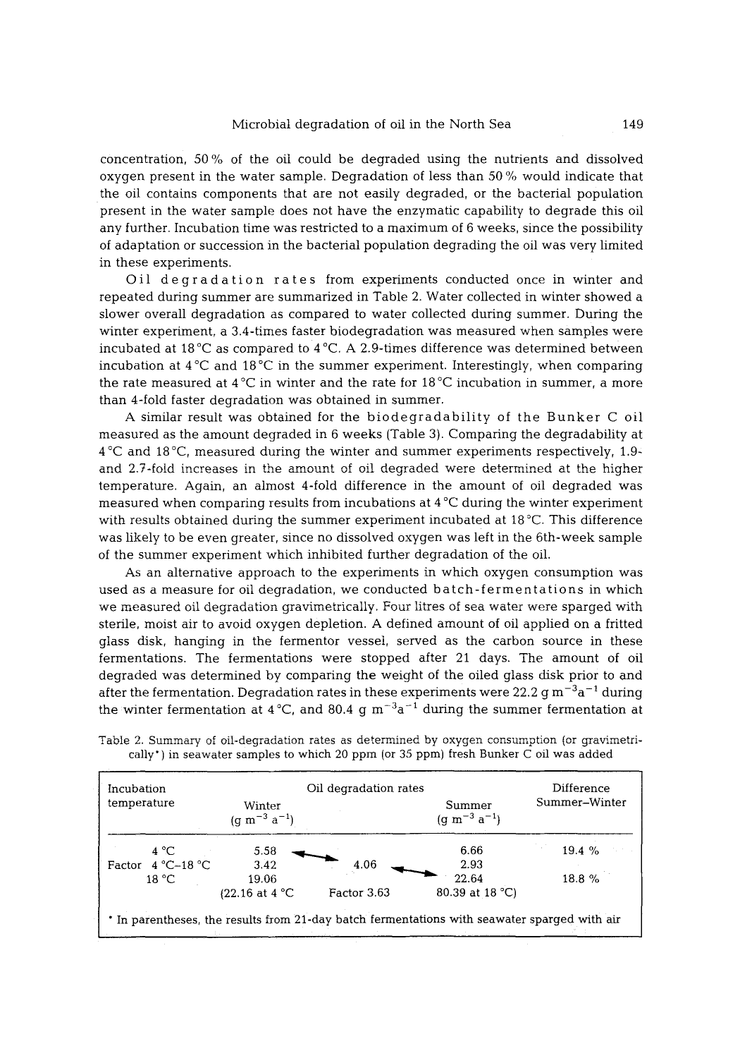concentration, 50 % of the oil could be degraded using the nutrients and dissolved oxygen present in the water sample. Degradation of less than 50 % would indicate that the oil contains components that are not easily degraded, or the bacterial population present in the water sample does not have the enzymatic capability to degrade this oil any further. Incubation time was restricted to a maximum of 6 weeks, since the possibility of adaptation or succession in the bacterial population degrading the oil was very limited in these experiments.

Oil degradation rates from experiments conducted once in winter and repeated during summer are summarized in Table 2. Water collected in winter showed a slower overall degradation as compared to water collected during summer. During the winter experiment, a 3.4-times faster biodegradation was measured when samples were incubated at  $18^{\circ}$ C as compared to  $4^{\circ}$ C. A 2.9-times difference was determined between incubation at  $4^{\circ}$ C and  $18^{\circ}$ C in the summer experiment. Interestingly, when comparing the rate measured at  $4^{\circ}C$  in winter and the rate for  $18^{\circ}C$  incubation in summer, a more than 4-fold faster degradation was obtained in summer.

A similar result was obtained for the biodegradability of the Bunker C oil measured as the amount degraded in 6 weeks (Table 3). Comparing the degradability at  $4^{\circ}$ C and  $18^{\circ}$ C, measured during the winter and summer experiments respectively, 1.9and 2.7-fold increases in the amount of oil degraded were determined at the higher temperature. Again, an almost 4-fold difference in the amount of oil degraded was measured when comparing results from incubations at  $4^{\circ}$ C during the winter experiment with results obtained during the summer experiment incubated at  $18\degree C$ . This difference was likely to be even greater, since no dissolved oxygen was left in the 6th-week sample of the summer experiment which inhibited further degradation of the oil.

As an alternative approach to the experiments in which oxygen consumption was used as a measure for oil degradation, we conducted batch-fermentations in which we measured oil degradation gravimetricaliy, Four litres of sea water were sparged with sterile, moist air to avoid oxygen depletion. A defined amount of oil applied on a fritted glass disk, hanging in the fermentor vessel, served as the carbon source in these fermentations. The fermentations were stopped after 21 days. The amount of oil degraded was determined by comparing the weight of the oiled glass disk prior to and after the fermentation. Degradation rates in these experiments were 22.2 g m<sup>-3</sup>a<sup>-1</sup> during the winter fermentation at 4 °C, and 80.4 g  $\text{m}^{-3}\text{a}^{-1}$  during the summer fermentation at

| Incubation          |                               | Oil degradation rates |                                               |               |
|---------------------|-------------------------------|-----------------------|-----------------------------------------------|---------------|
| temperature         | Winter<br>$(g m^{-3} a^{-1})$ |                       | Summer<br>$(q \text{ m}^{-3} \text{ a}^{-1})$ | Summer-Winter |
| 4 °C                | 5.58                          |                       | 6.66                                          | 19.4 %        |
| Factor $4 °C-18 °C$ | 3.42                          | 4.06                  | 2.93                                          |               |
| 18 °C               | 19.06                         |                       | 22.64                                         | 18.8 %        |
|                     | $(22.16$ at 4 °C              | Factor 3.63           | 80.39 at 18 °C)                               |               |

Table 2. Summary of oil-degradation rates as determined by oxygen consumption (or gravimetrically") in seawater samples to which 20 ppm (or 35 ppm) fresh Bunker C oil was added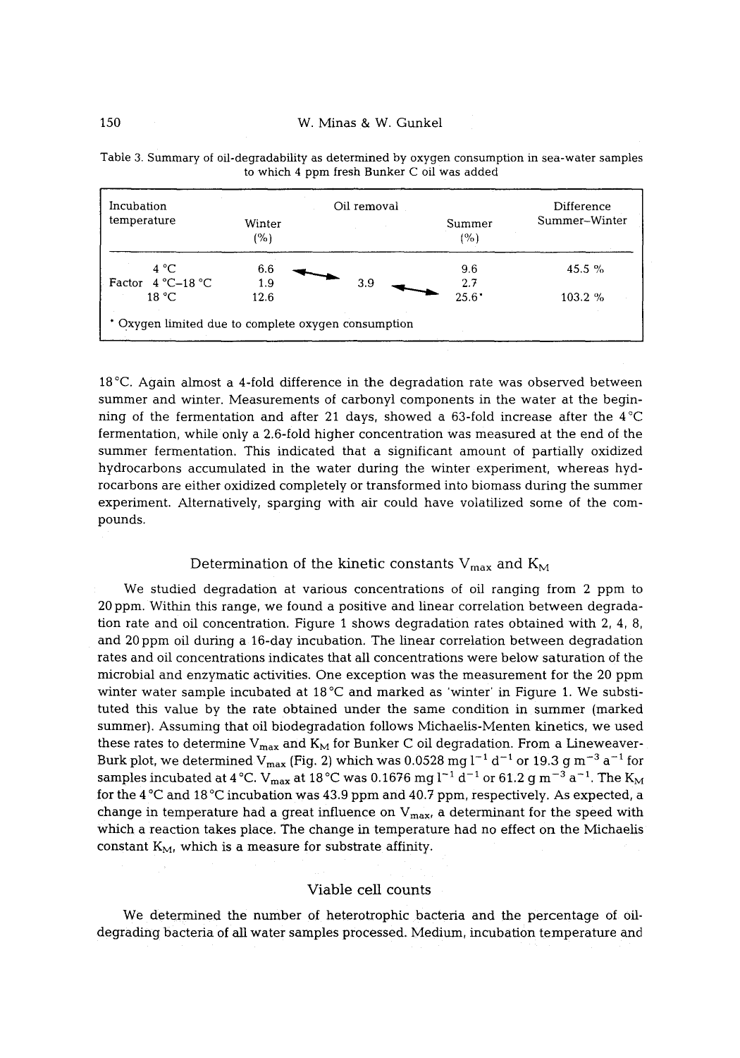| Incubation                                          | Oil removal   |     | Difference     |               |  |  |
|-----------------------------------------------------|---------------|-----|----------------|---------------|--|--|
| temperature                                         | Winter<br>(%) |     | Summer<br>(%)  | Summer-Winter |  |  |
| 4 °C                                                | 6.6           |     | 9.6            | $45.5 \%$     |  |  |
| 4 °C-18 °C<br>Factor                                | 1.9           | 3.9 | 2.7            |               |  |  |
| 18 °C                                               | 12.6          |     | $25.6^{\circ}$ | $103.2 \%$    |  |  |
| * Oxygen limited due to complete oxygen consumption |               |     |                |               |  |  |

Table 3. Summary of oil-degradability as determined by oxygen consumption in sea-water samples to which 4 ppm fresh Bunker C oil was added

18<sup>°</sup>C. Again almost a 4-fold difference in the degradation rate was observed between summer and winter. Measurements of carbonyl components in the water at the beginning of the fermentation and after 21 days, showed a 63-fold increase after the  $4^{\circ}C$ fermentation, while only a 2.6-fold higher concentration was measured at the end of the summer fermentation. This indicated that a significant amount of partially oxidized hydrocarbons accumulated in the water during the winter experiment, whereas hydrocarbons are either oxidized completely or transformed into biomass during the summer experiment. Alternatively, sparging with air could have volatilized some of the compounds.

## Determination of the kinetic constants  $V_{\text{max}}$  and  $K_M$

We studied degradation at various concentrations of oil ranging from 2 ppm to 20 ppm. Within this range, we found a positive and linear correlation between degradation rate and oil concentration. Figure 1 shows degradation rates obtained with 2, 4, 8, and 20 ppm oil during a 16-day incubation. The linear correlation between degradation rates and oil concentrations indicates that all concentrations were below saturation of the microbial and enzymatic activities. One exception was the measurement for the 20 ppm winter water sample incubated at  $18\textdegree C$  and marked as 'winter' in Figure 1. We substituted this value by the rate obtained under the same condition in summer (marked summer). Assuming that oil biodegradation follows Michaelis-Menten kinetics, we used these rates to determine  $V_{max}$  and  $K_M$  for Bunker C oil degradation. From a Lineweaver-Burk plot, we determined  $V_{max}$  (Fig. 2) which was 0.0528 mg l<sup>-1</sup> d<sup>-1</sup> or 19.3 g m<sup>-3</sup> a<sup>-1</sup> for samples incubated at 4 °C.  $V_{max}$  at 18 °C was 0.1676 mg l<sup>-1</sup> d<sup>-1</sup> or 61.2 g m<sup>-3</sup> a<sup>-1</sup>. The  $K_M$ for the  $4^{\circ}$ C and  $18^{\circ}$ C incubation was 43.9 ppm and 40.7 ppm, respectively. As expected, a change in temperature had a great influence on  $V_{max}$ , a determinant for the speed with which a reaction takes place. The change in temperature had no effect on the Michaelis constant  $K_M$ , which is a measure for substrate affinity.

# Viable cell counts

We determined the number of heterotrophic bacteria and the percentage of oildegrading bacteria of all water samples processed. Medium. incubation temperature and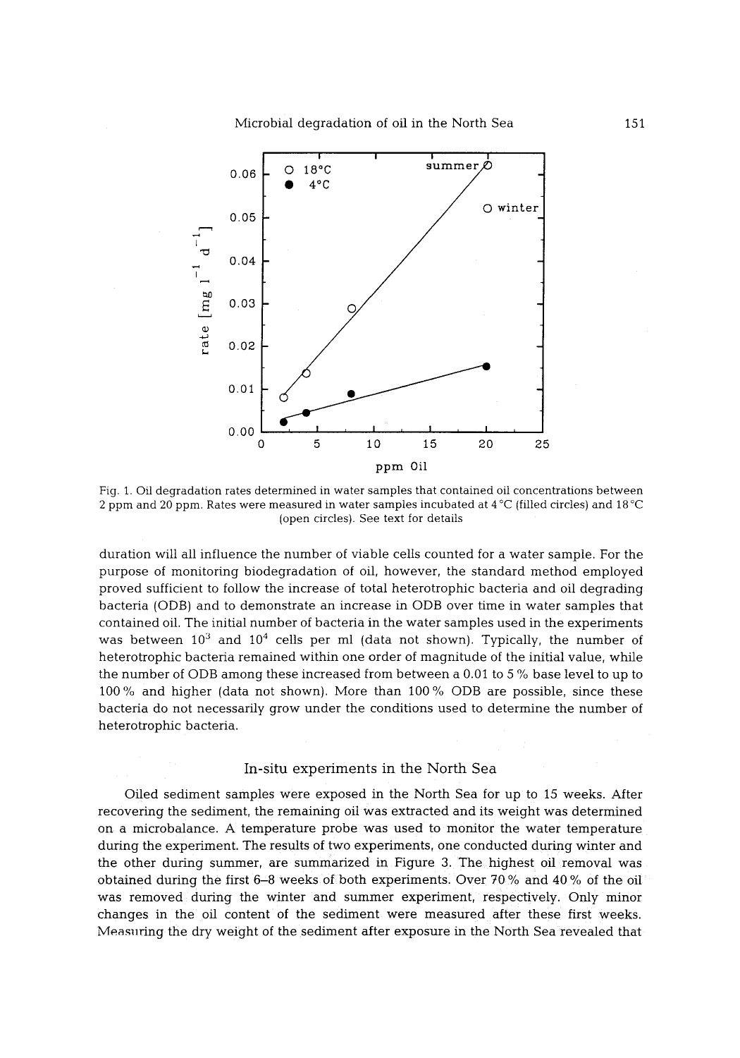

Fig. 1. Oil degradation rates determined in water samples that contained oil concentrations between 2 ppm and 20 ppm. Rates were measured in water samples incubated at  $4^{\circ}$ C (filled circles) and  $18^{\circ}$ C (open circles). See text for details

duration will all influence the number of viable cells counted for a water sample. For the purpose of monitoring biodegradation of oil, however, the standard method employed proved sufficient to follow the increase of total heterotrophic bacteria and oil degrading bacteria (ODB) and to demonstrate an increase in ODB over time in water samples that contained oil. The initial number of bacteria in the water samples used in the experiments was between  $10^3$  and  $10^4$  cells per ml (data not shown). Typically, the number of heterotrophic bacteria remained within one order of magnitude of the initial value, while the number of ODB among these increased from between a 0.01 to 5 % base level to up to 100 % and higher (data not shown). More than 100 % ODB are possible, since these bacteria do not necessarily grow under the conditions used to determine the number of heterotrophic bacteria.

# In-situ experiments in the North Sea

Oiled sediment samples were exposed in the North Sea for up to 15 weeks. After recovering the sediment, the remaining oil was extracted and its weight was determined on a microbalance. A temperature probe was used to monitor the water temperature during the experiment. The results of two experiments, one conducted during winter and the other during summer, are summarized in Figure 3. The highest oil removal was obtained during the first 6-8 weeks of both experiments. Over 70 % and 40 % of the oil was removed during the winter and summer experiment, respectively. Only minor changes in the oil content of the sediment were measured after these first weeks. Measuring the dry weight of the sediment after exposure in the North Sea revealed that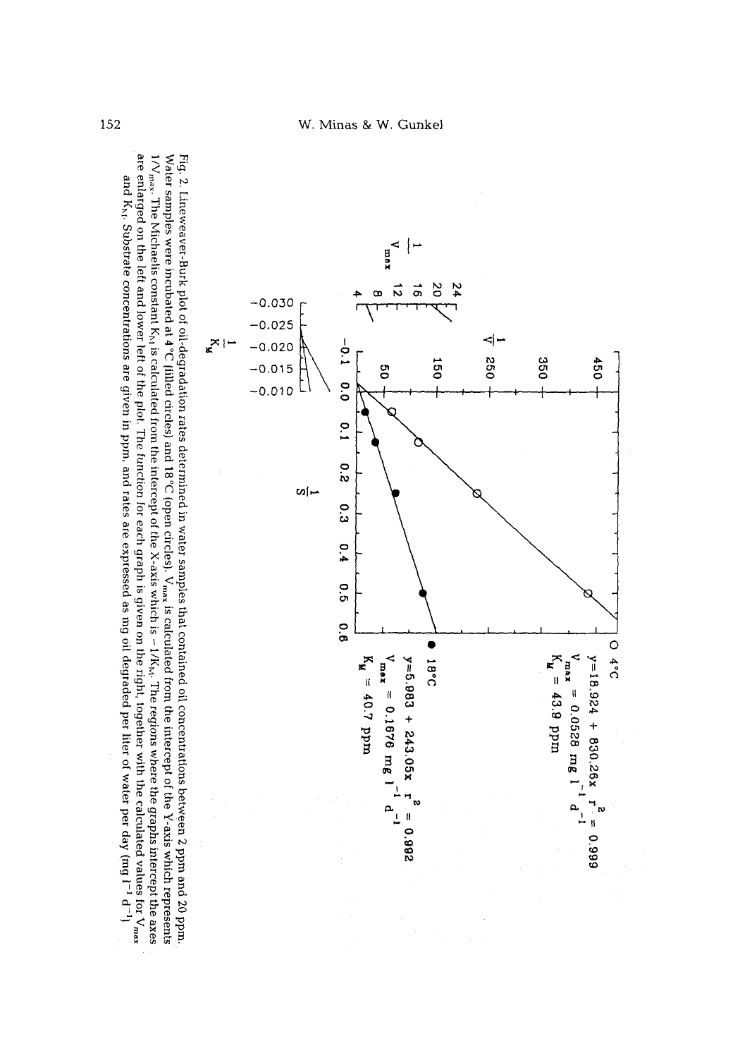

Water samples were incubated at 4°C (filled circles) and 18°C (open circles).  $V_{\text{max}}$  is calculated from the intercept of the Y-axis which represent Fig. 2. Lineweaver-Burk plot oi~degradation rates determined in water samples that contentiation rates determined in water samples and  $20~$  ppm and  $20~$  $^{16}$  and a paral paral paral paral and the properties in the transition is a properties in the plot. The plot is different and  $^{16}$  and  $^{16}$  and  $^{16}$  and  $^{16}$  and  $^{16}$  and  $^{16}$  and  $^{16}$  and  $^{16}$  and  $^{16$ are enlarged on the left and lower left of the plot. The function for each graph is given on the right, together with the calculated values for  ${\rm V_{max}}$ Water samples were incubated at  $4\degree$ C (filled circles) and  $18\degree$ C (open circles).  $V_{\text{max}}$  is calculated from the intercept of the Y-axis which represents Fig. 2. Lineweaver-Burk plot of oil-degradation rates determined in water samples that contained oil concentrations between 2 ppm and 20 ppm.  $1/V_{\rm max}$ . The Michaelis constant  $K_N$  is calculated from the intercept of the X-axis which is - 1/K<sub>W</sub>. The regions where the graphs intercept the axes and  $K_{h1}$ . Substrate concentrations are given in ppm, and rates are expressed as mg oil degraded per liter of water per day (mg  $1^{-1}$   $d^{-1}$ ) and  $K<sub>N</sub>$ . Substrate concentrations are given in ppm, and rates are expressed as mg oil degraded per liter of water per day (mg  $1^{-1}$   $d^{-1}$  $s_{\rm X}$ . The Michaelis constant  $K_{\rm N}$  is calculated from the intercept of the X-axis which is  $-1/K_{\rm N}$ . The regions where the graphs intercept the axes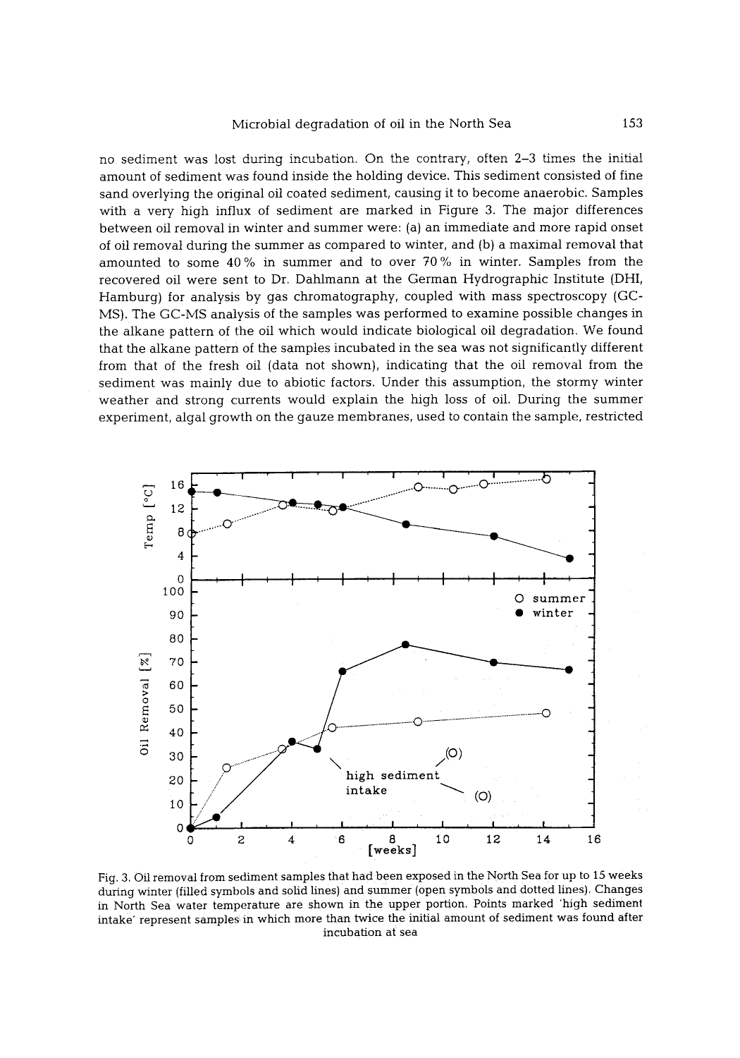no sediment was lost during incubation. On the contrary, often 2-3 times the initial amount of sediment was found inside the holding device. This sediment consisted of fine sand overlying the original oil coated sediment, causing it to become anaerobic. Samples with a very high influx of sediment are marked in Figure 3. The major differences between oil removal in winter and summer were: (a) an immediate and more rapid onset of oil removal during the summer as compared to winter, and (b) a maximal removal that amounted to some 40 % in summer and to over 70 % in winter. Samples from the recovered oil were sent to Dr. Dahlmann at the German Hydrographic Institute (DHI, Hamburg) for analysis by gas chromatography, coupled with mass spectroscopy (GC-MS). The GC-MS analysis of the samples was performed to examine possible changes in the alkane pattern of the oil which would indicate biological oil degradation. We found that the alkane pattern of the samples incubated in the sea was not significantly different from that of the fresh oil (data not shown), indicating that the oil removal from the sediment was mainly due to abiotic factors. Under this assumption, the stormy winter weather and strong currents would explain the high loss of oil. During the summer experiment, algal growth on the gauze membranes, used to contain the sample, restricted



Fig. 3. Oil removal from sediment samples that had been exposed in the North Sea for up to 15 weeks during winter (filled symbols and solid lines) and summer (open symbols and dotted lines). Changes in North Sea water temperature are shown in the upper portion. Points marked 'high sediment intake' represent samples in which more than twice the initial amount of sediment was found after incubation at sea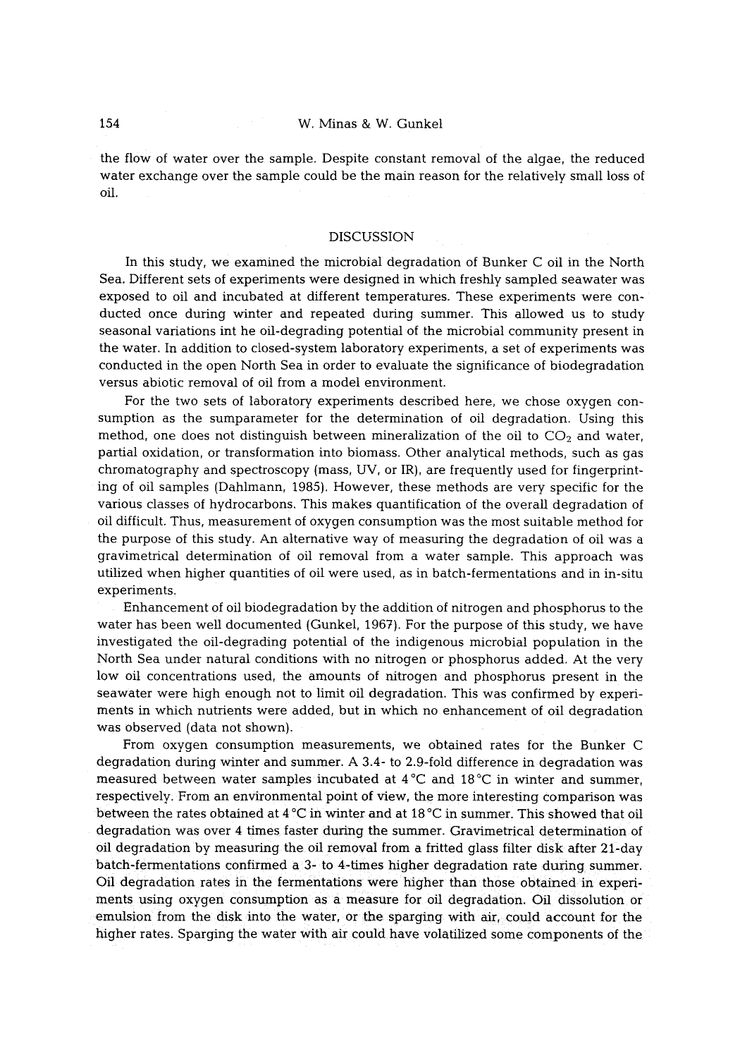# 154 W. Minas & W. Gunkel

the flow of water over the sample. Despite constant removal of the algae, the reduced water exchange over the sample could be the main reason for the relatively small loss of oil.

## DISCUSSION

In this study, we examined the microbial degradation of Bunker C oil in the North Sea. Different sets of experiments were designed in which freshly sampled seawater was exposed to oil and incubated at different temperatures. These experiments were conducted once during winter and repeated during summer. This allowed us to study seasonal variations int he oil-degrading potential of the microbial community present in the water. In addition to closed-system laboratory experiments, a set of experiments was conducted in the open North Sea in order to evaluate the significance of biodegradation versus abiotic removal of oil from a model environment.

For the two sets of laboratory experiments described here, we chose oxygen consumption as the sumparameter for the determination of oil degradation. Using this method, one does not distinguish between mineralization of the oil to  $CO<sub>2</sub>$  and water, partial oxidation, or transformation into biomass. Other analytical methods, such as gas chromatography and spectroscopy (mass, UV, or IR), are frequently used for fingerprinting of oil samples (Dahlmann, 1985). However, these methods are very specific for the various classes of hydrocarbons, This makes quantification of the overall degradation of oil difficult. Thus, measurement of oxygen consumption was the most suitable method for the purpose of this study. An alternative way of measuring the degradation of oil was a gravimetrical determination of oil removal from a water sample. This approach was utilized when higher quantities of oil were used. as in batch-fermentations and in in-situ experiments.

Enhancement of oil biodegradation by the addition of nitrogen and phosphorus to the water has been well documented (Gunkel, 1967). For the purpose of this study, we have investigated the oil-degrading potential of the indigenous microbial population in the North Sea under natural conditions with no nitrogen or phosphorus added. At the very low oil concentrations used. the amounts of nitrogen and phosphorus present in the seawater were high enough not to limit oil degradation. This was confirmed by experiments in which nutrients were added, but in which no enhancement of oil degradation was observed (data not shown).

From oxygen consumption measurements, we obtained rates for the Bunker C degradation during winter and summer. A 3.4- to 2.9-fold difference in degradation was measured between water samples incubated at  $4^{\circ}$ C and  $18^{\circ}$ C in winter and summer, respectively. From an environmental point of view, the more interesting comparison was between the rates obtained at  $4^{\circ}$ C in winter and at  $18^{\circ}$ C in summer. This showed that oil degradation was over 4 times faster during the summer. Gravimetrical determination of oil degradation by measuring the oil removal from a fritted glass filter disk after 21-day batch-fermentations confirmed a 3- to 4-times higher degradation rate during summer. Oil degradation rates in the fermentations were higher than those obtained in experiments using oxygen consumption as a measure for oil degradation. Oil dissolution or emulsion from the disk into the water, or the sparging with air, could account for the higher rates. Sparging the water with air could have volatilized some components of the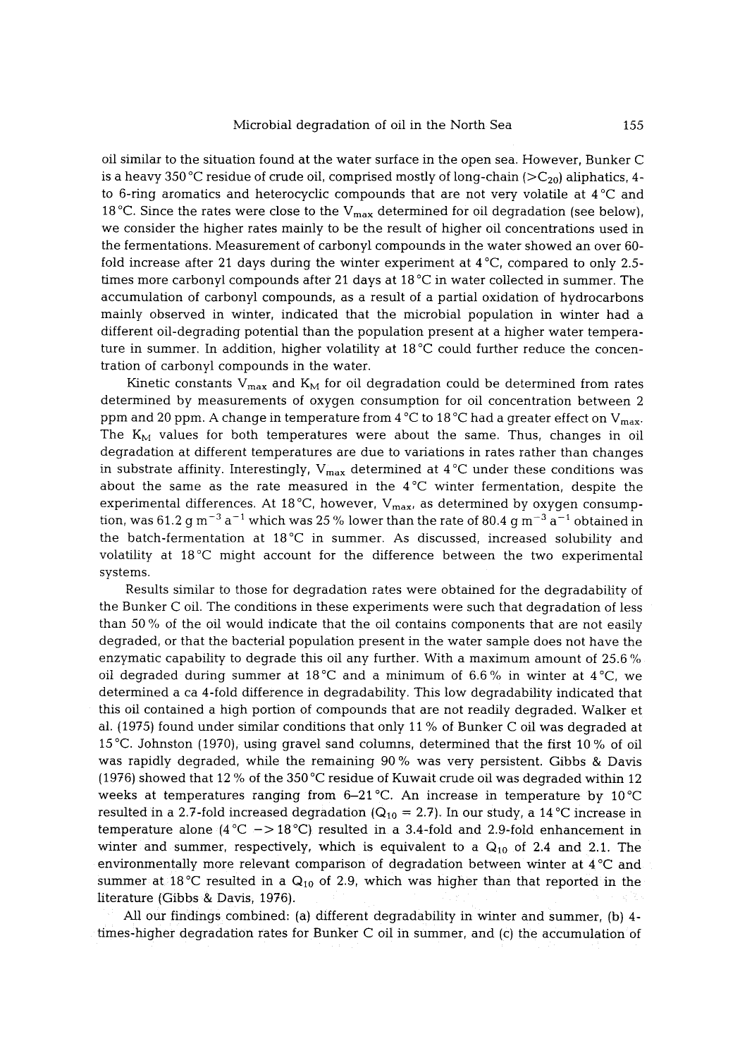oil similar to the situation found at the water surface in the open sea. However, Bunker C is a heavy 350 °C residue of crude oil, comprised mostly of long-chain ( $>C_{20}$ ) aliphatics, 4to 6-ring aromatics and heterocyclic compounds that are not very volatile at  $4^{\circ}$ C and 18 °C. Since the rates were close to the  $V_{max}$  determined for oil degradation (see below), we consider the higher rates mainly to be the result of higher oil concentrations used in the fermentations. Measurement of carbonyl compounds in the water showed an over 60 fold increase after 21 days during the winter experiment at  $4^{\circ}C$ , compared to only 2.5times more carbonyl compounds after 21 days at 18  $^{\circ}$ C in water collected in summer. The accumulation of carbonyl compounds, as a result of a partial oxidation of hydrocarbons mainly observed in winter, indicated that the microbial population in winter had a different oil-degrading potential than the population present at a higher water temperature in summer. In addition, higher volatility at  $18\degree$ C could further reduce the concentration of carbonyl compounds in the water.

Kinetic constants  $V_{max}$  and  $K_M$  for oil degradation could be determined from rates determined by measurements of oxygen consumption for oil concentration between 2 ppm and 20 ppm. A change in temperature from 4  $\rm{°C}$  to 18  $\rm{°C}$  had a greater effect on V<sub>max</sub>. The  $K_M$  values for both temperatures were about the same. Thus, changes in oil degradation at different temperatures are due to variations in rates rather than changes in substrate affinity. Interestingly,  $V_{max}$  determined at 4 °C under these conditions was about the same as the rate measured in the  $4^{\circ}$ C winter fermentation, despite the experimental differences. At 18<sup>o</sup>C, however, V<sub>max</sub>, as determined by oxygen consumption, was 61.2 g m<sup>-3</sup> a<sup>-1</sup> which was 25 % lower than the rate of 80.4 g m<sup>-3</sup> a<sup>-1</sup> obtained in the batch-fermentation at  $18\,^{\circ}\text{C}$  in summer. As discussed, increased solubility and volatility at  $18\,^{\circ}\mathrm{C}$  might account for the difference between the two experimental systems.

Results similar to those for degradation rates were obtained for the degradability of the Bunker C oil. The conditions in these experiments were such that degradation of less than 50 % of the oil would indicate that the oil contains components that are not easily degraded, or that the bacterial population present in the water sample does not have the enzymatic capability to degrade this oil any further. With a maximum amount of 25.6  $\%$ oil degraded during summer at 18<sup>o</sup>C and a minimum of 6.6% in winter at 4<sup>o</sup>C, we determined a ca 4-fold difference in degradability. This low degradability indicated that this oil contained a high portion of compounds that are not readily degraded. Walker et al. (1975) found under similar conditions that only 11% of Bunker C oil was degraded at 15 °C. Johnston (1970), using gravel sand columns, determined that the first 10 % of oil was rapidly degraded, while the remaining 90% was very persistent. Gibbs & Davis (1976) showed that 12 % of the 350 °C residue of Kuwait crude oil was degraded within 12 weeks at temperatures ranging from  $6-21^{\circ}$ C. An increase in temperature by  $10^{\circ}$ C resulted in a 2.7-fold increased degradation ( $Q_{10} = 2.7$ ). In our study, a 14 °C increase in temperature alone  $(4^{\circ}C \rightarrow 18^{\circ}C)$  resulted in a 3.4-fold and 2.9-fold enhancement in winter and summer, respectively, which is equivalent to a  $Q_{10}$  of 2.4 and 2.1. The environmentally more relevant comparison of degradation between winter at  $4^{\circ}C$  and summer at 18 °C resulted in a  $Q_{10}$  of 2.9, which was higher than that reported in the literature (Gibbs & Davis, 1976).

All our findings combined: (a) different degradability in winter and summer. (b) 4 times-higher degradation rates for Bunker C oil in summer, and (c) the accumulation of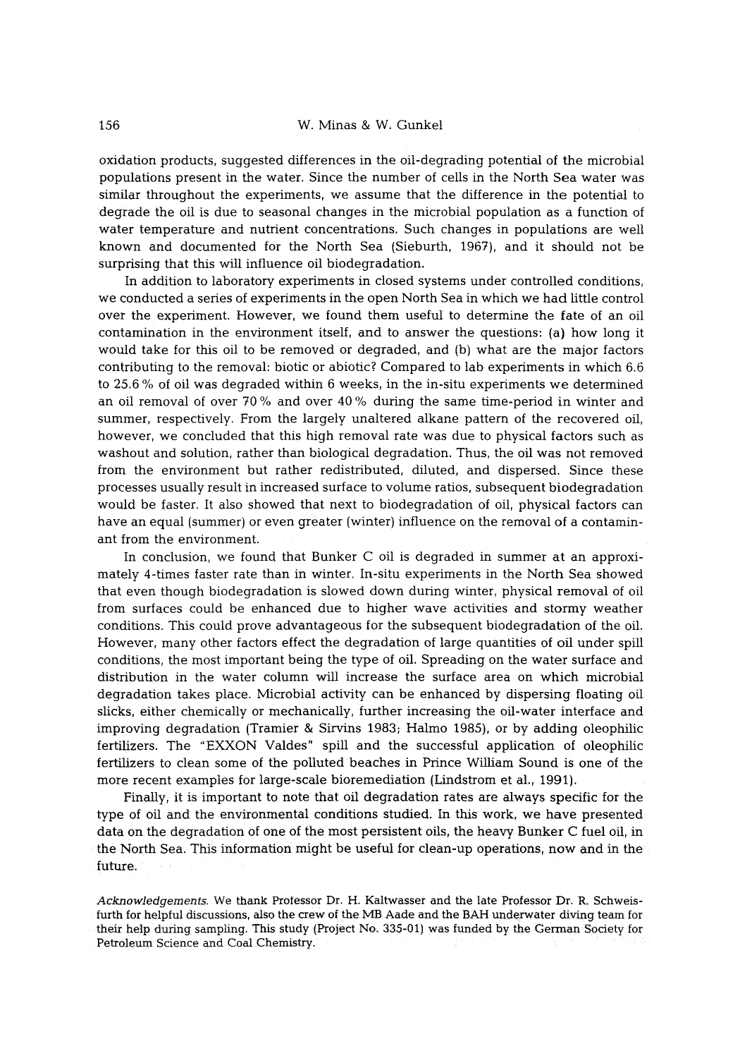oxidation products, suggested differences in the oil-degrading potential of the microbial populations present in the water. Since the number of cells in the North Sea water was similar throughout the experiments, we assume that the difference in the potential to degrade the oil is due to seasonal changes in the microbial population as a function of water temperature and nutrient concentrations. Such changes in populations are well known and documented for the North Sea (Sieburth, 1967), and it should not be surprising that this will influence oil biodegradation.

In addition to laboratory experiments in closed systems under controlled conditions, we conducted a series of experiments in the open North Sea in which we had little control over the experiment. However, we found them useful to determine the fate of an oil contamination in the environment itself, and to answer the questions: (a) how long it would take for this oil to be removed or degraded, and (b) what are the major factors contributing to the removal: biotic or abiotic? Compared to lab experiments in which 6.6 to 25.6 % of oil was degraded within 6 weeks, in the in-situ experiments we determined an oil removal of over 70 % and over 40 % during the same time-period in winter and summer, respectively. From the largely unaltered alkane pattern of the recovered oil, however, we concluded that this high removal rate was due to physical factors such as washout and solution, rather than biological degradation. Thus, the oil was not removed from the environment but rather redistributed, diluted, and dispersed. Since these processes usually result in increased surface to volume ratios, subsequent biodegradation would be faster. It also showed that next to biodegradation of oil, physical factors can have an equal (summer) or even greater (winter) influence on the removal of a contaminant from the environment.

In conclusion, we found that Bunker C oil is degraded in summer at an approximately 4-times faster rate than in winter. In-situ experiments in the North Sea showed that even though biodegradation is slowed down during winter, physical removal of oil from surfaces could be enhanced due to higher wave activities and stormy weather conditions. This could prove advantageous for the subsequent biodegradation of the oil. However, many other factors effect the degradation of large quantities of oil under spill conditions, the most important being the type of oil. Spreading on the water surface and distribution in the water column will increase the surface area on which microbial degradation takes place. Microbial activity can be enhanced by dispersing floating oil slicks, either chemically or mechanically, further increasing the oil-water interface and improving degradation (Tramier & Sirvins 1983; Halmo 1985), or by adding oleophilic fertilizers. The "EXXON Valdes" spill and the successful application of oleophihc fertilizers to clean some of the polluted beaches in Prince William Sound is one of the more recent examples for large-scale bioremediation (Lindstrom et al., 1991).

Finally, it is important to note that oil degradation rates are always specific for the type of oil and the environmental conditions studied. In this work. we have presented data on the degradation of one of the most persistent oils, the heavy Bunker C fuel oil, m the North Sea. This information might be useful for clean-up operations, now and in the future,

*Acknowledgements.* We thank Professor Dr. H. Kaltwasser and the late Professor Dr. R. Schweisfurth for helpful discussions, also the crew of the MB Aade and the BAH underwater diving team for their help during sampling. This study (Project No. 335-01) was funded by the German Society for Petroleum Science and Coal Chemistry.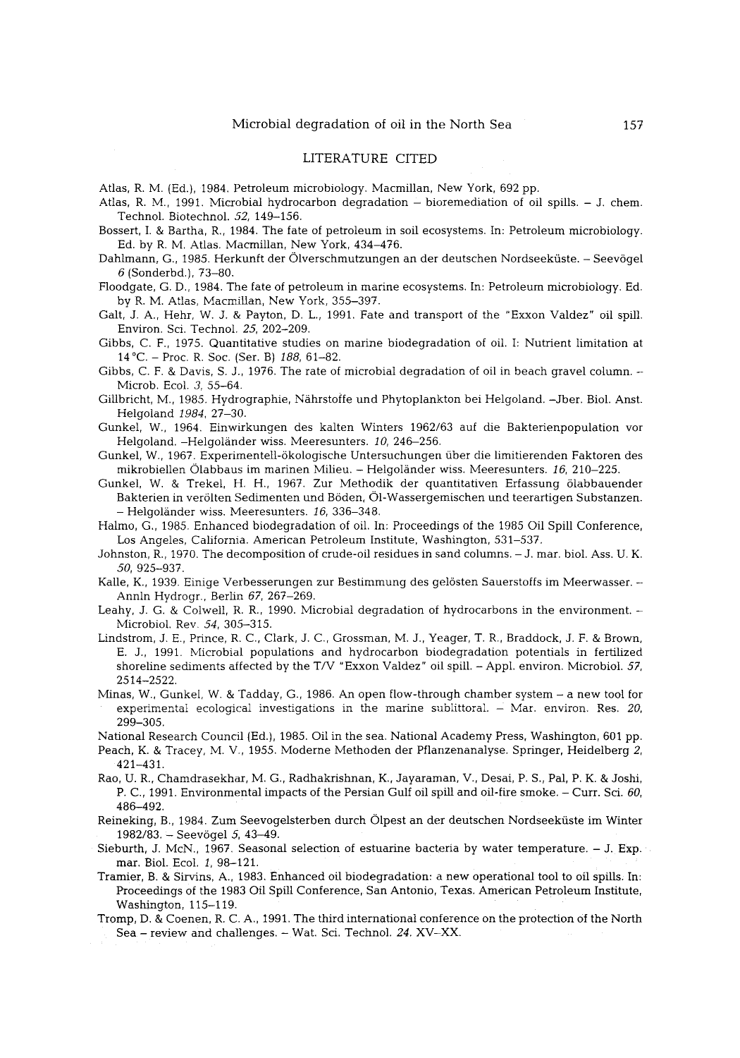#### LITERATURE CITED

Atlas, R. M. (Ed.), 1984. Petroleum microbiology. Macmillan, New York, 692 pp.

Atlas, R. M., 1991. Microbial hydrocarbon degradation - bioremediation of oil spills. - J. chem. Technol. Biotechnol. 52, 149-156.

- Bossert, I. & Bartha, R., 1984. The fate of petroleum in soil ecosystems. In: Petroleum microbiology. Ed. by R. M. Atlas. Macmillan, New York, 434-476.
- Dahlmann, G., 1985. Herkunft der (Dlverschmutzungen an der deutschen Nordseekfiste. Seev6gel 6 (Sonderbd.), 73-80.
- Floodgate, G. D., 1984. The fate of petroleum in marine ecosystems. In: Petroleum microbiology. Ed. by R. M. Atlas, Macmillan, New York, 355-397.
- Gait, J. A., Hehr, W. J. & Payton, D. L., 1991. Fate and transport of the "Exxon Valdez" oil spill. Environ. Sci. Technoi. 25, 202-209.
- Gibbs, C. F., 1975. Quantitative studies on marine biodegradation of oil. I: Nutrient limitation at 14~ - Proc. R. Soc. (Ser. B) *188,* 61-82.
- Gibbs, C. F. & Davis, S. J., 1976. The rate of microbial degradation of oil in beach gravel column. Microb. Ecol. 3, 55-64.
- Gillbricht, M., 1985. Hydrographie, Nährstoffe und Phytoplankton bei Helgoland. -Jber. Biol. Anst. Helgoland *1984,* 27-30.
- Gunkel, W., 1964. Einwirkungen des kalten Winters 1962/63 auf die Bakterienpopulation vor Helgoland. -Helgoländer wiss. Meeresunters. 10, 246-256.
- Gunkel, W., 1967. Experimentell-6kologische Untersuchungen fiber die limitierenden Faktoren des mikrobiellen Olabbaus im marinen Milieu. - Helgol~nder wiss. Meeresunters. *16,* 210-225.
- Gunkel, W. & Trekel, H. H., 1967. Zur Methodik der quantitativen Erfassung 61abbauender Bakterien in ver61ten Sedimenten und B6den, O1-Wassergemischen und teerartigen Substanzen. - Helgol~nder wiss. Meeresunters. *I6,* 336-348.
- Halmo, G., 1985. Enhanced biodegradation of oil. In: Proceedings of the 1985 Oil Spill Conference, Los Angeles, California. American Petroleum Institute, Washington, 531-537.
- Johnston, R., 1970. The decomposition of crude-oil residues in sand columns. J. mar. biol. Ass. U. K. 50, 925-937.
- Kalle, K., 1939. Einige Verbesserungen zur Bestimmung des gelösten Sauerstoffs im Meerwasser. -Annin Hydrogr., Berlin *67,* 267-269.
- Leahy, J. G. & Colwell, R. R., 1990. Microbial degradation of hydrocarbons in the environment. Microbiol. Rev. *54,* 305-315.
- Lindstrom, J. E., Prince, R. C., Clark, J. C., Grossman, M. J., Yeager, T. R., Braddock, J. F. & Brown, E. J., 1991. NIicrobial populations and hydrocarbon biodegradation potentials in fertilized shoreline sediments affected by the T/V "Exxon Valdez" oil spill. - Appl. environ. Microbiol. 57, 2514-2522.
- Minas, W., Gunkel, W. & Tadday, G., 1986. An open flow-through chamber system a new tool for experimental ecological investigations in the marine sublittoral. - Mar. environ. Res. *20,*  299-305.

National Research Council (Ed.), 1985. Oil in the sea. National Academy Press, Washington, 601 pp.

- Peach, K. & Tracey, M. V., *1955.* Moderne Methoden der Pflanzenanalyse. Springer, Heidelberg 2, 421-431.
- Rao, U. R., Chamdrasekhar, M. G., Radhakrishnan, K., Jayaraman, V., Desai, P. S., Pal, P. K. & Joshi, P. C., 1991. Environmental impacts of the Persian Gulf oil spill and oil-fire smoke. - Curr. Sci. 60, 486-492.
- Reineking, B., 1984. Zum Seevogelsterben durch Olpest an der deutschen Nordseekfiste im Winter 1982/83. - Seevögel 5, 43-49.
- Sieburth, J. McN., 1967. Seasonal selection of estuarine bacteria by water temperature.  $-$  J. Exp. mar. Biol. Ecol. 1, 98-121.
- Tramier, B. & Sirvins, A., 1983, Enhanced oil biodegradation: a new operational tool to oil spills. In: Proceedings of the 1983 Oil Spill Conference, San Antonio, Texas. American Petroleum Institute, Washington, 115-119.
- Tromp, D. & Coenen, R. C. A., 1991. The third international conference on the protection of the North Sea - review and challenges. - War. Sci. Technol. *24.* XV-XX.